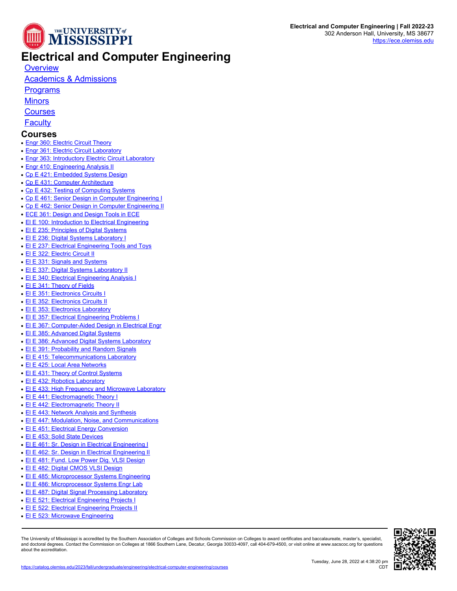

## **Electrical and Computer Engineering**

**[Overview](https://catalog.olemiss.edu/engineering/electrical-computer-engineering)** 

## [Academics & Admissions](https://catalog.olemiss.edu/engineering/electrical-computer-engineering/academics)

**[Programs](https://catalog.olemiss.edu/engineering/electrical-computer-engineering/programs)** 

**[Minors](https://catalog.olemiss.edu/engineering/electrical-computer-engineering/minors)** 

**[Courses](https://catalog.olemiss.edu/engineering/electrical-computer-engineering/courses)** 

**[Faculty](https://catalog.olemiss.edu/engineering/electrical-computer-engineering/faculty)** 

## **Courses**

- [Engr 360: Electric Circuit Theory](https://catalog.olemiss.edu/engineering/engr-360)
- [Engr 361: Electric Circuit Laboratory](https://catalog.olemiss.edu/engineering/engr-361)
- [Engr 363: Introductory Electric Circuit Laboratory](https://catalog.olemiss.edu/engineering/engr-363)
- [Engr 410: Engineering Analysis II](https://catalog.olemiss.edu/engineering/engr-410)
- [Cp E 421: Embedded Systems Design](https://catalog.olemiss.edu/engineering/electrical-computer-engineering/cp-e-421)
- [Cp E 431: Computer Architecture](https://catalog.olemiss.edu/engineering/electrical-computer-engineering/cp-e-431)
- [Cp E 432: Testing of Computing Systems](https://catalog.olemiss.edu/engineering/electrical-computer-engineering/cp-e-432)
- [Cp E 461: Senior Design in Computer Engineering I](https://catalog.olemiss.edu/engineering/electrical-computer-engineering/cp-e-461)
- [Cp E 462: Senior Design in Computer Engineering II](https://catalog.olemiss.edu/engineering/electrical-computer-engineering/cp-e-462)
- **[ECE 361: Design and Design Tools in ECE](https://catalog.olemiss.edu/engineering/electrical-computer-engineering/ece-361)**
- **EL E 100: Introduction to Electrical Engineering**
- **EL E 235: Principles of Digital Systems**
- [El E 236: Digital Systems Laboratory I](https://catalog.olemiss.edu/engineering/electrical-computer-engineering/el-e-236)
- **EL E 237: Electrical Engineering Tools and Toys**
- [El E 322: Electric Circuit II](https://catalog.olemiss.edu/engineering/electrical-computer-engineering/el-e-322)
- [El E 331: Signals and Systems](https://catalog.olemiss.edu/engineering/electrical-computer-engineering/el-e-331)
- [El E 337: Digital Systems Laboratory II](https://catalog.olemiss.edu/engineering/electrical-computer-engineering/el-e-337)
- [El E 340: Electrical Engineering Analysis I](https://catalog.olemiss.edu/engineering/electrical-computer-engineering/el-e-340)
- [El E 341: Theory of Fields](https://catalog.olemiss.edu/engineering/electrical-computer-engineering/el-e-341)
- [El E 351: Electronics Circuits I](https://catalog.olemiss.edu/engineering/electrical-computer-engineering/el-e-351)
- [El E 352: Electronics Circuits II](https://catalog.olemiss.edu/engineering/electrical-computer-engineering/el-e-352)
- [El E 353: Electronics Laboratory](https://catalog.olemiss.edu/engineering/electrical-computer-engineering/el-e-353)
- [El E 357: Electrical Engineering Problems I](https://catalog.olemiss.edu/engineering/electrical-computer-engineering/el-e-357)
- [El E 367: Computer-Aided Design in Electrical Engr](https://catalog.olemiss.edu/engineering/electrical-computer-engineering/el-e-367)
- [El E 385: Advanced Digital Systems](https://catalog.olemiss.edu/engineering/electrical-computer-engineering/el-e-385)
- [El E 386: Advanced Digital Systems Laboratory](https://catalog.olemiss.edu/engineering/electrical-computer-engineering/el-e-386)
- **EL E 391: Probability and Random Signals**
- [El E 415: Telecommunications Laboratory](https://catalog.olemiss.edu/engineering/electrical-computer-engineering/el-e-415)
- [El E 425: Local Area Networks](https://catalog.olemiss.edu/engineering/electrical-computer-engineering/el-e-425)
- [El E 431: Theory of Control Systems](https://catalog.olemiss.edu/engineering/electrical-computer-engineering/el-e-431)
- ELE 432: Robotics Laboratory
- [El E 433: High Frequency and Microwave Laboratory](https://catalog.olemiss.edu/engineering/electrical-computer-engineering/el-e-433)
- [El E 441: Electromagnetic Theory I](https://catalog.olemiss.edu/engineering/electrical-computer-engineering/el-e-441)
- [El E 442: Electromagnetic Theory II](https://catalog.olemiss.edu/engineering/electrical-computer-engineering/el-e-442)
- **EL E 443: Network Analysis and Synthesis**
- [El E 447: Modulation, Noise, and Communications](https://catalog.olemiss.edu/engineering/electrical-computer-engineering/el-e-447)
- [El E 451: Electrical Energy Conversion](https://catalog.olemiss.edu/engineering/electrical-computer-engineering/el-e-451)
- [El E 453: Solid State Devices](https://catalog.olemiss.edu/engineering/electrical-computer-engineering/el-e-453)
- [El E 461: Sr. Design in Electrical Engineering I](https://catalog.olemiss.edu/engineering/electrical-computer-engineering/el-e-461)
- **EL E 462: Sr. Design in Electrical Engineering II**
- [El E 481: Fund. Low Power Dig. VLSI Design](https://catalog.olemiss.edu/engineering/electrical-computer-engineering/el-e-481)
- [El E 482: Digital CMOS VLSI Design](https://catalog.olemiss.edu/engineering/electrical-computer-engineering/el-e-482)
- [El E 485: Microprocessor Systems Engineering](https://catalog.olemiss.edu/engineering/electrical-computer-engineering/el-e-485)
- [El E 486: Microprocessor Systems Engr Lab](https://catalog.olemiss.edu/engineering/electrical-computer-engineering/el-e-486)
- [El E 487: Digital Signal Processing Laboratory](https://catalog.olemiss.edu/engineering/electrical-computer-engineering/el-e-487)
- [El E 521: Electrical Engineering Projects I](https://catalog.olemiss.edu/engineering/electrical-computer-engineering/el-e-521)
- [El E 522: Electrical Engineering Projects II](https://catalog.olemiss.edu/engineering/electrical-computer-engineering/el-e-522)
- 
- **EI E 523: Microwave Engineering**

The University of Mississippi is accredited by the Southern Association of Colleges and Schools Commission on Colleges to award certificates and baccalaureate, master's, specialist,<br>and doctoral degrees. Contact the Commis about the accreditation.